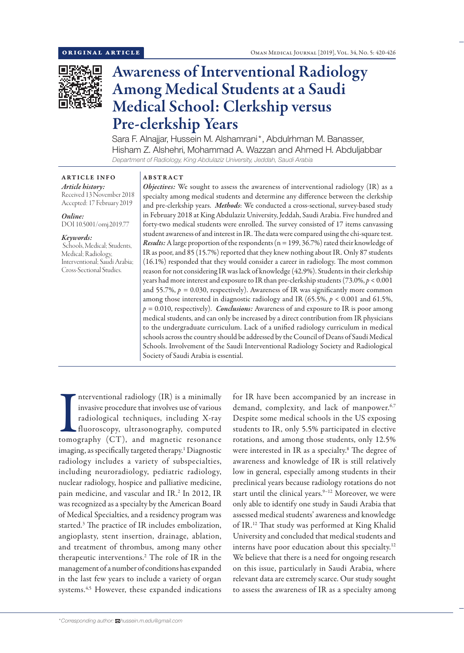

# Awareness of Interventional Radiology Among Medical Students at a Saudi Medical School: Clerkship versus Pre-clerkship Years

Sara F. Alnajjar, Hussein M. Alshamrani\*, Abdulrhman M. Banasser, Hisham Z. Alshehri, Mohammad A. Wazzan and Ahmed H. Abduljabbar *Department of Radiology, King Abdulaziz University, Jeddah, Saudi Arabia*

# ARTICLE INFO

*Article history:* Received 13 November 2018 Accepted: 17 February 2019

### *Online:* DOI 10.5001/omj.2019.77

*Keywords:*  Schools, Medical; Students, Medical; Radiology, Interventional; Saudi Arabia;

Cross-Sectional Studies.

## ABSTRACT

*Objectives:* We sought to assess the awareness of interventional radiology (IR) as a specialty among medical students and determine any difference between the clerkship and pre-clerkship years. *Methods*: We conducted a cross-sectional, survey-based study in February 2018 at King Abdulaziz University, Jeddah, Saudi Arabia. Five hundred and forty-two medical students were enrolled. The survey consisted of 17 items canvassing student awareness of and interest in IR. The data were compared using the chi-square test. *Results:*A large proportion of the respondents (n = 199, 36.7%) rated their knowledge of IR as poor, and 85 (15.7%) reported that they knew nothing about IR. Only 87 students (16.1%) responded that they would consider a career in radiology. The most common reason for not considering IR was lack of knowledge (42.9%). Students in their clerkship years had more interest and exposure to IR than pre-clerkship students (73.0%, *p* < 0.001 and 55.7%,  $p = 0.030$ , respectively). Awareness of IR was significantly more common among those interested in diagnostic radiology and IR (65.5%, *p* < 0.001 and 61.5%, *p =* 0.010, respectively). *Conclusions:* Awareness of and exposure to IR is poor among medical students, and can only be increased by a direct contribution from IR physicians to the undergraduate curriculum. Lack of a unified radiology curriculum in medical schools across the country should be addressed by the Council of Deans of Saudi Medical Schools. Involvement of the Saudi Interventional Radiology Society and Radiological Society of Saudi Arabia is essential.

Interventional radiology (IR) is a minimally<br>invasive procedure that involves use of various<br>radiological techniques, including X-ray<br>fluoroscopy, ultrasonography, computed<br>tomography (CT), and magnetic resonance nterventional radiology (IR) is a minimally invasive procedure that involves use of various radiological techniques, including X-ray fluoroscopy, ultrasonography, computed imaging, as specifically targeted therapy.<sup>1</sup> Diagnostic radiology includes a variety of subspecialties, including neuroradiology, pediatric radiology, nuclear radiology, hospice and palliative medicine, pain medicine, and vascular and IR. 2 In 2012, IR was recognized as a specialty by the American Board of Medical Specialties, and a residency program was started.3 The practice of IR includes embolization, angioplasty, stent insertion, drainage, ablation, and treatment of thrombus, among many other therapeutic interventions.2 The role of IR in the management of a number of conditions has expanded in the last few years to include a variety of organ systems.<sup>4,5</sup> However, these expanded indications

for IR have been accompanied by an increase in demand, complexity, and lack of manpower.<sup>6,7</sup> Despite some medical schools in the US exposing students to IR, only 5.5% participated in elective rotations, and among those students, only 12.5% were interested in IR as a specialty.<sup>8</sup> The degree of awareness and knowledge of IR is still relatively low in general, especially among students in their preclinical years because radiology rotations do not start until the clinical years.<sup>9-12</sup> Moreover, we were only able to identify one study in Saudi Arabia that assessed medical students' awareness and knowledge of IR. 12 That study was performed at King Khalid University and concluded that medical students and interns have poor education about this specialty.12 We believe that there is a need for ongoing research on this issue, particularly in Saudi Arabia, where relevant data are extremely scarce. Our study sought to assess the awareness of IR as a specialty among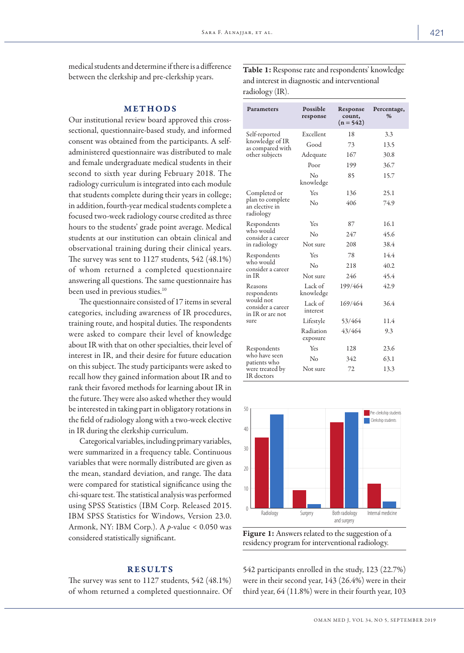medical students and determine if there is a difference between the clerkship and pre-clerkship years.

# METHODS

Our institutional review board approved this crosssectional, questionnaire-based study, and informed consent was obtained from the participants. A selfadministered questionnaire was distributed to male and female undergraduate medical students in their second to sixth year during February 2018. The radiology curriculum is integrated into each module that students complete during their years in college; in addition, fourth-year medical students complete a focused two-week radiology course credited as three hours to the students' grade point average. Medical students at our institution can obtain clinical and observational training during their clinical years. The survey was sent to 1127 students, 542 (48.1%) of whom returned a completed questionnaire answering all questions. The same questionnaire has been used in previous studies.<sup>10</sup>

The questionnaire consisted of 17 items in several categories, including awareness of IR procedures, training route, and hospital duties. The respondents were asked to compare their level of knowledge about IR with that on other specialties, their level of interest in IR, and their desire for future education on this subject. The study participants were asked to recall how they gained information about IR and to rank their favored methods for learning about IR in the future. They were also asked whether they would be interested in taking part in obligatory rotations in the field of radiology along with a two-week elective in IR during the clerkship curriculum.

Categorical variables, including primary variables, were summarized in a frequency table. Continuous variables that were normally distributed are given as the mean, standard deviation, and range. The data were compared for statistical significance using the chi-square test. The statistical analysis was performed using SPSS Statistics (IBM Corp. Released 2015. IBM SPSS Statistics for Windows, Version 23.0. Armonk, NY: IBM Corp.). A *p*-value < 0.050 was considered statistically significant.

## RESULTS

The survey was sent to 1127 students, 542 (48.1%) of whom returned a completed questionnaire. Of Table 1: Response rate and respondents' knowledge and interest in diagnostic and interventional radiology (IR).

| Parameters                                                                           | Possible<br>response          | Response<br>count,<br>$(n = 542)$ | Percentage,<br>$\%$ |  |
|--------------------------------------------------------------------------------------|-------------------------------|-----------------------------------|---------------------|--|
| Self-reported                                                                        | Excellent                     | 18                                | 3.3                 |  |
| knowledge of IR<br>as compared with                                                  | Good                          | 73                                | 13.5                |  |
| other subjects                                                                       | Adequate                      | 167                               | 30.8                |  |
|                                                                                      | Poor                          | 199                               | 36.7                |  |
|                                                                                      | $\rm N_{\Omega}$<br>knowledge | 85                                | 15.7                |  |
| Completed or                                                                         | Yes                           | 136                               | 25.1                |  |
| plan to complete<br>an elective in<br>radiology                                      | No                            | 406                               | 74.9                |  |
| Respondents                                                                          | Yes                           | 87                                | 16.1                |  |
| who would<br>consider a career                                                       | No                            | 247                               | 45.6                |  |
| in radiology                                                                         | Not sure                      | 208                               | 38.4                |  |
| Respondents<br>who would<br>consider a career<br>in IR                               | Yes                           | 78                                | 14.4                |  |
|                                                                                      | No                            | 218                               | 40.2                |  |
|                                                                                      | Not sure                      | 246                               | 45.4                |  |
| Reasons<br>respondents<br>would not<br>consider a career<br>in IR or are not<br>sure | Lack of<br>knowledge          | 199/464                           | 42.9                |  |
|                                                                                      | Lack of<br>interest           | 169/464                           | 36.4                |  |
|                                                                                      | Lifestyle                     | 53/464                            | 11.4                |  |
|                                                                                      | Radiation<br>exposure         | 43/464                            | 9.3                 |  |
| Respondents                                                                          | Yes                           | 128                               | 23.6                |  |
| who have seen<br>patients who                                                        | Nο                            | 342                               | 63.1                |  |
| were treated by<br>IR doctors                                                        | Not sure                      | 72                                | 13.3                |  |



Figure 1: Answers related to the suggestion of a residency program for interventional radiology.

542 participants enrolled in the study, 123 (22.7%) were in their second year, 143 (26.4%) were in their third year, 64 (11.8%) were in their fourth year, 103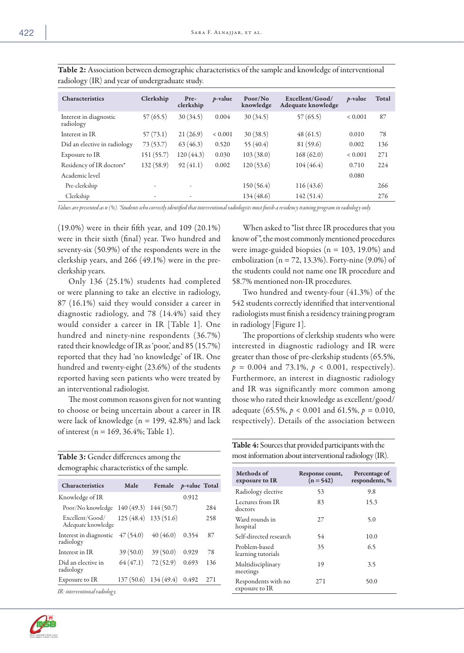| $\mathcal{O}$ $\longrightarrow$     | $\mathcal{L}$ |                   |             |                      |                                       |             |       |
|-------------------------------------|---------------|-------------------|-------------|----------------------|---------------------------------------|-------------|-------|
| Characteristics                     | Clerkship     | Pre-<br>clerkship | $p$ -value  | Poor/No<br>knowledge | Excellent/Good/<br>Adequate knowledge | $p$ -value  | Total |
| Interest in diagnostic<br>radiology | 57(65.5)      | 30(34.5)          | 0.004       | 30(34.5)             | 57(65.5)                              | ${}< 0.001$ | 87    |
| Interest in IR                      | 57(73.1)      | 21(26.9)          | ${}< 0.001$ | 30(38.5)             | 48(61.5)                              | 0.010       | 78    |
| Did an elective in radiology        | 73(53.7)      | 63(46.3)          | 0.520       | 55 $(40.4)$          | 81 (59.6)                             | 0.002       | 136   |
| Exposure to IR                      | 151 (55.7)    | 120(44.3)         | 0.030       | 103(38.0)            | 168(62.0)                             | ${}< 0.001$ | 271   |
| Residency of IR doctors*            | 132 (58.9)    | 92(41.1)          | 0.002       | 120(53.6)            | 104(46.4)                             | 0.710       | 224   |
| Academic level                      |               |                   |             |                      |                                       | 0.080       |       |
| Pre-clerkship                       | ٠             | ۰                 |             | 150(56.4)            | 116(43.6)                             |             | 266   |
| Clerkship                           | ٠             | ٠                 |             | 134 (48.6)           | 142(51.4)                             |             | 276   |

Table 2: Association between demographic characteristics of the sample and knowledge of interventional radiology (IR) and year of undergraduate study.

*Values are presented as n (%). \*Students who correctly identified that interventional radiologists must finish a residency training program in radiology only.*

(19.0%) were in their fifth year, and 109 (20.1%) were in their sixth (final) year. Two hundred and seventy-six (50.9%) of the respondents were in the clerkship years, and 266 (49.1%) were in the preclerkship years.

Only 136 (25.1%) students had completed or were planning to take an elective in radiology, 87 (16.1%) said they would consider a career in diagnostic radiology, and 78 (14.4%) said they would consider a career in IR [Table 1]. One hundred and ninety-nine respondents (36.7%) rated their knowledge of IR as 'poor,' and 85 (15.7%) reported that they had 'no knowledge' of IR. One hundred and twenty-eight (23.6%) of the students reported having seen patients who were treated by an interventional radiologist.

The most common reasons given for not wanting to choose or being uncertain about a career in IR were lack of knowledge ( $n = 199, 42.8\%$ ) and lack of interest (n = 169, 36.4%; Table 1).

| Table 3: Gender differences among the      |  |
|--------------------------------------------|--|
| demographic characteristics of the sample. |  |

| <b>Characteristics</b>                | Male                    | Female                | <i>p</i> -value Total |     |
|---------------------------------------|-------------------------|-----------------------|-----------------------|-----|
| Knowledge of IR                       |                         |                       | 0.912                 |     |
| Poor/No knowledge                     | $140(49.3)$ $144(50.7)$ |                       |                       | 284 |
| Excellent/Good/<br>Adequate knowledge |                         | 125 (48.4) 133 (51.6) |                       | 258 |
| Interest in diagnostic<br>radiology   | 47(54.0)                | 40(46.0)              | 0.354                 | 87  |
| Interest in IR                        | 39(50.0)                | 39(50.0)              | 0.929                 | 78  |
| Did an elective in<br>radiology       | 64(47.1)                | 72(52.9)              | 0.693                 | 136 |
| Exposure to IR                        | 137(50.6)               | 134 (49.4)            | 0.492                 | 271 |
| IR: interventional radiology.         |                         |                       |                       |     |



When asked to "list three IR procedures that you know of ", the most commonly mentioned procedures were image-guided biopsies ( $n = 103$ , 19.0%) and embolization ( $n = 72, 13.3\%$ ). Forty-nine (9.0%) of the students could not name one IR procedure and 58.7% mentioned non-IR procedures.

Two hundred and twenty-four (41.3%) of the 542 students correctly identified that interventional radiologists must finish a residency training program in radiology [Figure 1].

The proportions of clerkship students who were interested in diagnostic radiology and IR were greater than those of pre-clerkship students (65.5%,  $p = 0.004$  and 73.1%,  $p < 0.001$ , respectively). Furthermore, an interest in diagnostic radiology and IR was significantly more common among those who rated their knowledge as excellent/good/ adequate (65.5%, *p* < 0.001 and 61.5%, *p =* 0.010, respectively). Details of the association between

| most information about interventional radiology (IR).       |
|-------------------------------------------------------------|
| <b>Table 4:</b> Sources that provided participants with the |

| Methods of<br>exposure to IR          | Response count,<br>$(n = 542)$ | Percentage of<br>respondents, % |
|---------------------------------------|--------------------------------|---------------------------------|
| Radiology elective                    | 53                             | 9.8                             |
| Lectures from IR<br>doctors           | 83                             | 15.3                            |
| Ward rounds in<br>hospital            | 27                             | 5.0                             |
| Self-directed research                | 54                             | 10.0                            |
| Problem-based<br>learning tutorials   | 35                             | 6.5                             |
| Multidisciplinary<br>meetings         | 19                             | 3.5                             |
| Respondents with no<br>exposure to IR | 271                            | 50.0                            |
|                                       |                                |                                 |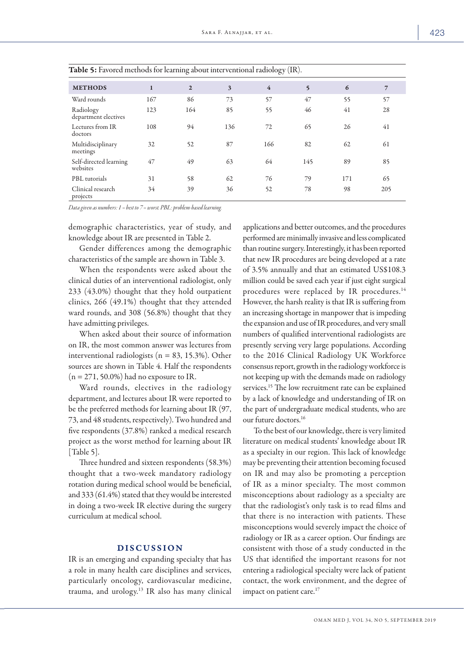| <b>TWOLF</b> 2. Lat of calculations for realiting about filter ventional radiology $(11)$ . |              |              |     |                |     |     |                |
|---------------------------------------------------------------------------------------------|--------------|--------------|-----|----------------|-----|-----|----------------|
| <b>METHODS</b>                                                                              | $\mathbf{1}$ | $\mathbf{2}$ | 3   | $\overline{4}$ | 5   | 6   | $\overline{7}$ |
| Ward rounds                                                                                 | 167          | 86           | 73  | 57             | 47  | 55  | 57             |
| Radiology<br>department electives                                                           | 123          | 164          | 85  | 55             | 46  | 41  | 28             |
| Lectures from IR<br>doctors                                                                 | 108          | 94           | 136 | 72             | 65  | 26  | 41             |
| Multidisciplinary<br>meetings                                                               | 32           | 52           | 87  | 166            | 82  | 62  | 61             |
| Self-directed learning<br>websites                                                          | 47           | 49           | 63  | 64             | 145 | 89  | 85             |
| PBL tutorials                                                                               | 31           | 58           | 62  | 76             | 79  | 171 | 65             |
| Clinical research<br>projects                                                               | 34           | 39           | 36  | 52             | 78  | 98  | 205            |

*Data given as numbers: 1 = best to 7 = worst. PBL: problem-based learning.*

demographic characteristics, year of study, and knowledge about IR are presented in Table 2.

Gender differences among the demographic characteristics of the sample are shown in Table 3.

When the respondents were asked about the clinical duties of an interventional radiologist, only 233 (43.0%) thought that they hold outpatient clinics, 266 (49.1%) thought that they attended ward rounds, and 308 (56.8%) thought that they have admitting privileges.

When asked about their source of information on IR, the most common answer was lectures from interventional radiologists ( $n = 83, 15.3\%$ ). Other sources are shown in Table 4. Half the respondents  $(n = 271, 50.0\%)$  had no exposure to IR.

Ward rounds, electives in the radiology department, and lectures about IR were reported to be the preferred methods for learning about IR (97, 73, and 48 students, respectively). Two hundred and five respondents (37.8%) ranked a medical research project as the worst method for learning about IR [Table 5].

Three hundred and sixteen respondents (58.3%) thought that a two-week mandatory radiology rotation during medical school would be beneficial, and 333 (61.4%) stated that they would be interested in doing a two-week IR elective during the surgery curriculum at medical school.

## DISCUSSION

IR is an emerging and expanding specialty that has a role in many health care disciplines and services, particularly oncology, cardiovascular medicine, trauma, and urology.13 IR also has many clinical applications and better outcomes, and the procedures performed are minimally invasive and less complicated than routine surgery. Interestingly, it has been reported that new IR procedures are being developed at a rate of 3.5% annually and that an estimated US\$108.3 million could be saved each year if just eight surgical procedures were replaced by IR procedures.14 However, the harsh reality is that IR is suffering from an increasing shortage in manpower that is impeding the expansion and use of IR procedures, and very small numbers of qualified interventional radiologists are presently serving very large populations. According to the 2016 Clinical Radiology UK Workforce consensus report, growth in the radiology workforce is not keeping up with the demands made on radiology services.<sup>15</sup> The low recruitment rate can be explained by a lack of knowledge and understanding of IR on the part of undergraduate medical students, who are our future doctors.16

To the best of our knowledge, there is very limited literature on medical students' knowledge about IR as a specialty in our region. This lack of knowledge may be preventing their attention becoming focused on IR and may also be promoting a perception of IR as a minor specialty. The most common misconceptions about radiology as a specialty are that the radiologist's only task is to read films and that there is no interaction with patients. These misconceptions would severely impact the choice of radiology or IR as a career option. Our findings are consistent with those of a study conducted in the US that identified the important reasons for not entering a radiological specialty were lack of patient contact, the work environment, and the degree of impact on patient care.<sup>17</sup>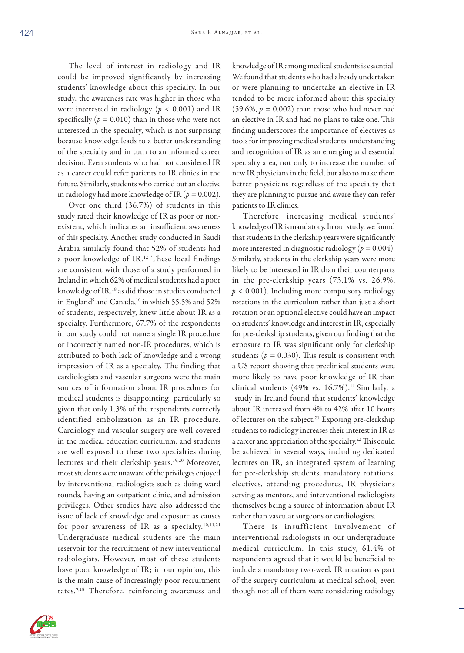The level of interest in radiology and IR could be improved significantly by increasing students' knowledge about this specialty. In our study, the awareness rate was higher in those who were interested in radiology (*p* < 0.001) and IR specifically  $(p = 0.010)$  than in those who were not interested in the specialty, which is not surprising because knowledge leads to a better understanding of the specialty and in turn to an informed career decision. Even students who had not considered IR as a career could refer patients to IR clinics in the future. Similarly, students who carried out an elective in radiology had more knowledge of IR (*p =* 0.002).

Over one third (36.7%) of students in this study rated their knowledge of IR as poor or nonexistent, which indicates an insufficient awareness of this specialty. Another study conducted in Saudi Arabia similarly found that 52% of students had a poor knowledge of IR. <sup>12</sup> These local findings are consistent with those of a study performed in Ireland in which 62% of medical students had a poor knowledge of IR, 18 as did those in studies conducted in England9 and Canada,10 in which 55.5% and 52% of students, respectively, knew little about IR as a specialty. Furthermore, 67.7% of the respondents in our study could not name a single IR procedure or incorrectly named non-IR procedures, which is attributed to both lack of knowledge and a wrong impression of IR as a specialty. The finding that cardiologists and vascular surgeons were the main sources of information about IR procedures for medical students is disappointing, particularly so given that only 1.3% of the respondents correctly identified embolization as an IR procedure. Cardiology and vascular surgery are well covered in the medical education curriculum, and students are well exposed to these two specialties during lectures and their clerkship years.<sup>19,20</sup> Moreover, most students were unaware of the privileges enjoyed by interventional radiologists such as doing ward rounds, having an outpatient clinic, and admission privileges. Other studies have also addressed the issue of lack of knowledge and exposure as causes for poor awareness of IR as a specialty.<sup>10,11,21</sup> Undergraduate medical students are the main reservoir for the recruitment of new interventional radiologists. However, most of these students have poor knowledge of IR; in our opinion, this is the main cause of increasingly poor recruitment rates.<sup>9,18</sup> Therefore, reinforcing awareness and

knowledge of IR among medical students is essential. We found that students who had already undertaken or were planning to undertake an elective in IR tended to be more informed about this specialty (59.6%,  $p = 0.002$ ) than those who had never had an elective in IR and had no plans to take one. This finding underscores the importance of electives as tools for improving medical students' understanding and recognition of IR as an emerging and essential specialty area, not only to increase the number of new IR physicians in the field, but also to make them better physicians regardless of the specialty that they are planning to pursue and aware they can refer patients to IR clinics.

Therefore, increasing medical students' knowledge of IR is mandatory. In our study, we found that students in the clerkship years were significantly more interested in diagnostic radiology ( $p = 0.004$ ). Similarly, students in the clerkship years were more likely to be interested in IR than their counterparts in the pre-clerkship years (73.1% vs. 26.9%, *p* < 0.001). Including more compulsory radiology rotations in the curriculum rather than just a short rotation or an optional elective could have an impact on students' knowledge and interest in IR, especially for pre-clerkship students, given our finding that the exposure to IR was significant only for clerkship students ( $p = 0.030$ ). This result is consistent with a US report showing that preclinical students were more likely to have poor knowledge of IR than clinical students (49% vs.  $16.7\%$ ).<sup>11</sup> Similarly, a study in Ireland found that students' knowledge about IR increased from 4% to 42% after 10 hours of lectures on the subject.<sup>21</sup> Exposing pre-clerkship students to radiology increases their interest in IR as a career and appreciation of the specialty.22 This could be achieved in several ways, including dedicated lectures on IR, an integrated system of learning for pre-clerkship students, mandatory rotations, electives, attending procedures, IR physicians serving as mentors, and interventional radiologists themselves being a source of information about IR rather than vascular surgeons or cardiologists.

There is insufficient involvement of interventional radiologists in our undergraduate medical curriculum. In this study, 61.4% of respondents agreed that it would be beneficial to include a mandatory two-week IR rotation as part of the surgery curriculum at medical school, even though not all of them were considering radiology

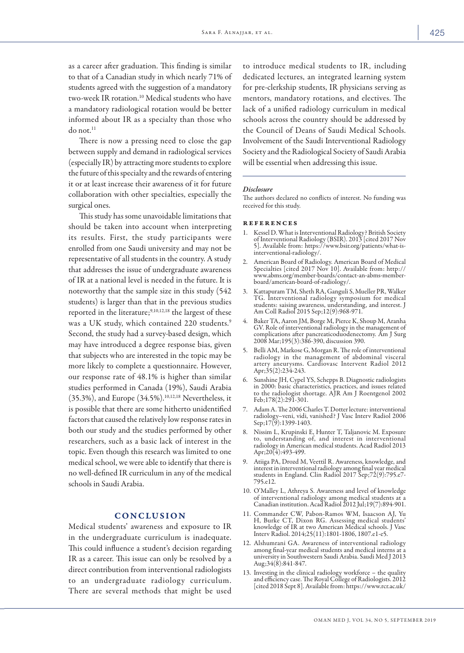as a career after graduation. This finding is similar to that of a Canadian study in which nearly 71% of students agreed with the suggestion of a mandatory two-week IR rotation.<sup>10</sup> Medical students who have a mandatory radiological rotation would be better informed about IR as a specialty than those who do not.<sup>11</sup>

There is now a pressing need to close the gap between supply and demand in radiological services (especially IR) by attracting more students to explore the future of this specialty and the rewards of entering it or at least increase their awareness of it for future collaboration with other specialties, especially the surgical ones.

This study has some unavoidable limitations that should be taken into account when interpreting its results. First, the study participants were enrolled from one Saudi university and may not be representative of all students in the country. A study that addresses the issue of undergraduate awareness of IR at a national level is needed in the future. It is noteworthy that the sample size in this study (542 students) is larger than that in the previous studies reported in the literature;<sup>9,10,12,18</sup> the largest of these was a UK study, which contained 220 students.<sup>9</sup> Second, the study had a survey-based design, which may have introduced a degree response bias, given that subjects who are interested in the topic may be more likely to complete a questionnaire. However, our response rate of 48.1% is higher than similar studies performed in Canada (19%), Saudi Arabia (35.3%), and Europe (34.5%).10,12,18 Nevertheless, it is possible that there are some hitherto unidentified factors that caused the relatively low response rates in both our study and the studies performed by other researchers, such as a basic lack of interest in the topic. Even though this research was limited to one medical school, we were able to identify that there is no well-defined IR curriculum in any of the medical schools in Saudi Arabia.

# **CONCLUSION**

Medical students' awareness and exposure to IR in the undergraduate curriculum is inadequate. This could influence a student's decision regarding IR as a career. This issue can only be resolved by a direct contribution from interventional radiologists to an undergraduate radiology curriculum. There are several methods that might be used

to introduce medical students to IR, including dedicated lectures, an integrated learning system for pre-clerkship students, IR physicians serving as mentors, mandatory rotations, and electives. The lack of a unified radiology curriculum in medical schools across the country should be addressed by the Council of Deans of Saudi Medical Schools. Involvement of the Saudi Interventional Radiology Society and the Radiological Society of Saudi Arabia will be essential when addressing this issue.

#### *Disclosure*

The authors declared no conflicts of interest. No funding was received for this study.

#### references

- 1. Kessel D. What is Interventional Radiology? British Society of Interventional Radiology (BSIR). 2013 [cited 2017 Nov 5]. Available from: https://www.bsir.org/patients/what-is- interventional-radiology/.
- 2. American Board of Radiology. American Board of Medical Specialties [cited 2017 Nov 10]. Available from: http:// www.abms.org/member-boards/contact-an-abms-memberboard/american-board-of-radiology/.
- 3. Kattapuram TM, Sheth RA, Ganguli S, Mueller PR, Walker TG. Interventional radiology symposium for medical students: saising awareness, understanding, and interest. J Am Coll Radiol 2015 Sep;12(9):968-971.
- 4. Baker TA, Aaron JM, Borge M, Pierce K, Shoup M, Aranha complications after pancreaticoduodenectomy. Am J Surg 2008 Mar;195(3):386-390, discussion 390.
- 5. Belli AM, Markose G, Morgan R. The role of interventional radiology in the management of abdominal visceral artery aneurysms. Cardiovasc Intervent Radiol 2012 Apr;35(2):234-243.
- 6. Sunshine JH, Cypel YS, Schepps B. Diagnostic radiologists in 2000: basic characteristics, practices, and issues related to the radiologist shortage. AJR Am J Roentgenol 2002 Feb;178(2):291-301.
- 7. Adam A. The 2006 Charles T. Dotter lecture: interventional radiology–veni, vidi, vanished? J Vasc Interv Radiol 2006 Sep;17(9):1399-1403.
- 8. Nissim L, Krupinski E, Hunter T, Taljanovic M. Exposure to, understanding of, and interest in interventional radiology in American medical students. Acad Radiol 2013 Apr;20(4):493-499.
- 9. Atiiga PA, Drozd M, Veettil R. Awareness, knowledge, and interest in interventional radiology among final year medical students in England. Clin Radiol 2017 Sep;72(9):795.e7- 795.e12.
- 10. O'Malley L, Athreya S. Awareness and level of knowledge of interventional radiology among medical students at a Canadian institution. Acad Radiol 2012 Jul;19(7):894-901.
- 11. Commander CW, Pabon-Ramos WM, Isaacson AJ, Yu knowledge of IR at two American Medical schools. J Vasc Interv Radiol. 2014;25(11):1801-1806, 1807.e1-e5.
- 12. Alshumrani GA. Awareness of interventional radiology among final-year medical students and medical interns at a university in Southwestern Saudi Arabia. Saudi Med J 2013 Aug;34(8):841-847.
- 13. Investing in the clinical radiology workforce the quality and efficiency case. The Royal College of Radiologists. 2012<br>[cited 2018 Sept 8]. Available from: https://www.rcr.ac.uk/